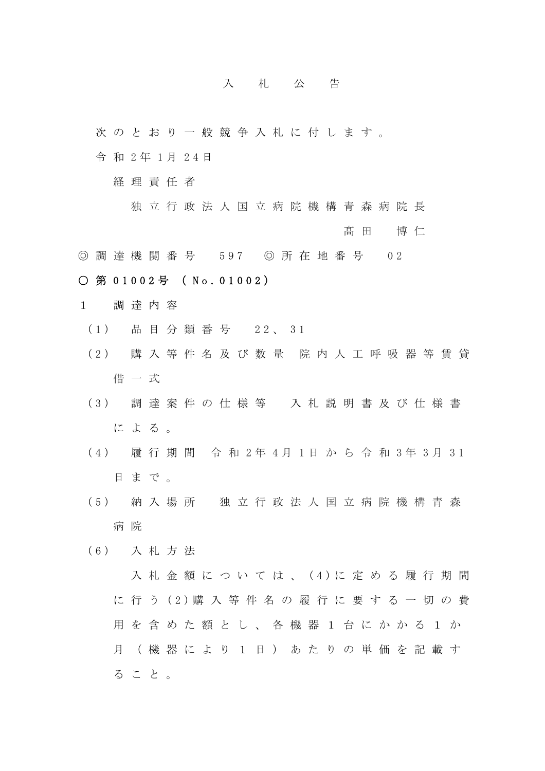## 入札公告

- 次のとおり一般競争入札に付します。
- 令 和 2 年 1 月 2 4 日
	- 経理責任者
		- 独立行政法人国立病院機構青森病院長

髙田 博仁

◎ 調 達 機 関 番 号 597 ◎ 所 在 地 番 号 0 2

## ○ 第 01002号 ( No. 01002)

- 1 調達内容
	- (1) 品 目 分 類 番 号 22、 31
	- (2) 購 入 等 件 名 及 び 数 量 院 内 人 工 呼 吸 器 等 賃 貸 借一式
	- (3) 調 達 案 件 の 仕 様 等 入 札 説 明 書 及 び 仕 様 書 による。
	- (4) 履 行 期 間 令 和 2年 4月 1日 か ら 令 和 3年 3月 31 日まで。
	- (5) 納 入 場 所 独立行政法人国立病院機構青森 病 院
	- (6) 入 札 方 法

入札金額については、 (4)に 定 め る 履 行 期 間 に 行 う (2)購 入 等 件 名 の 履 行 に 要 す る 一 切 の 費 用を含めた額とし、各機器1台にかかる1か 月(機器により1日)あたりの単価を記載す ること。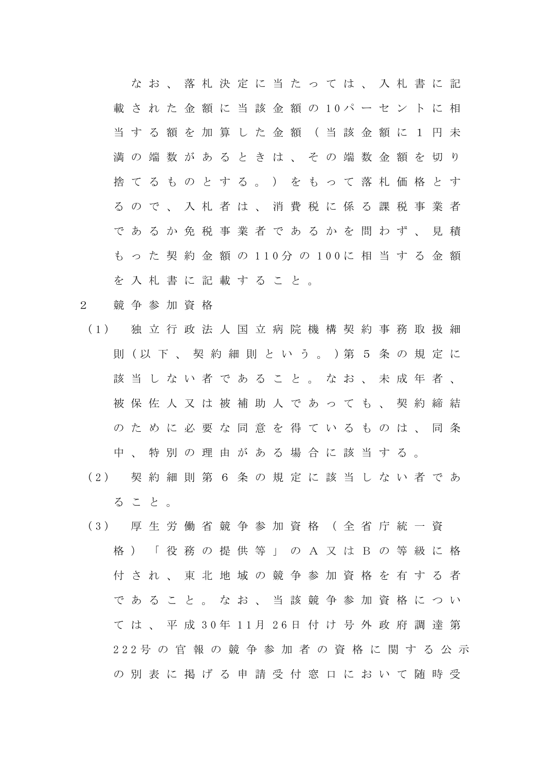なお、落札決定に当たっては、入札書に記 載 さ れ た 金 額 に 当 該 金 額 の 10パ ー セ ン ト に 相 当する額を加算した金額(当該金額に1円未 満の端数があるときは、その端数金額を切り 捨てるものとする。)をもって落札価格とす るので、入札者は、消費税に係る課税事業者 であるか免税事業者であるかを問わず、見積 も っ た 契 約 金 額 の 110分 の 100に 相 当 す る 金 額 を入札書に記載すること。

- 2 競争参加資格
- (1) 独 立 行 政 法 人 国 立 病 院 機 構 契 約 事 務 取 扱 細 則 (以 下 、 契 約 細 則 と い う 。 )第 5 条 の 規 定 に 該当しない者であること。なお、未成年者、 被保佐人又は被補助人であっても、契約締結 のために必要な同意を得ているものは、同条 中、特別の理由がある場合に該当する。
- (2) 契 約 細 則 第 6 条 の 規 定 に 該 当 し な い 者 で あ ること。
- (3) 厚 生 労 働 省 競 争 参 加 資 格 ( 全 省 庁 統 一 資 格)「役務の提供等」の A又はB の等級に格 付され、 東 北 地域の競争参加資格を有する者 であること。なお、当該競争参加資格につい て は 、 平 成 30年 11月 26日 付 け 号 外 政 府 調 達 第 222号 の 官 報 の 競 争 参 加 者 の 資 格 に 関 す る 公 示 の別表に掲げる申請受付窓口において随時受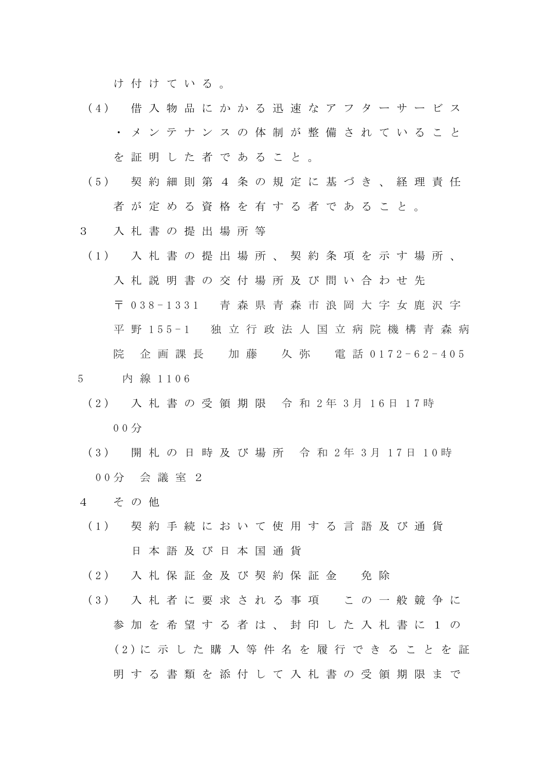け付けている。

- (4) 借 入 物 品 に か か る 迅 速 な ア フ タ ー サ ー ビ ス ・メンテナンスの体制が整備されていること を証明した者であること。
- (5) 契 約 細 則 第 4 条 の 規 定 に 基 づ き 、 経 理 責 任 者が定める資格を有する者であること。
- 3 入札書の提出場所等
- (1) 入 札 書 の 提 出 場 所 、 契 約 条 項 を 示 す 場 所 、 入札説明書の交付場所及び問い合わせ先 〒 038-1331 青 森 県 青 森 市 浪 岡 大 字 女 鹿 沢 字 平 野 155-1 独 立 行 政 法 人 国 立 病 院 機 構 青 森 病 院 企画課長 加藤 久弥 電話 0172-62-405
- 5 内 線 1106
	- (2) 入 札 書 の 受 領 期 限 令 和 2年 3月 16日 17時 00分
	- (3) 開 札 の 日 時 及 び 場 所 令 和 2年 3月 17日 10時 00分 会 議 室 2
- 4 その他
- (1) 契 約 手 続 に お い て 使 用 す る 言 語 及 び 通 貨 日本語及び日本国通貨
- (2) 入 札 保 証 金 及 び 契 約 保 証 金 免 除
- (3) 入 札 者 に 要 求 さ れ る 事 項 こ の 一 般 競 争 に 参加を希望する者は、封印した入札書に1の (2)に 示 し た 購 入 等 件 名 を 履 行 で き る こ と を 証 明する書類を添付して入札書の受領期限まで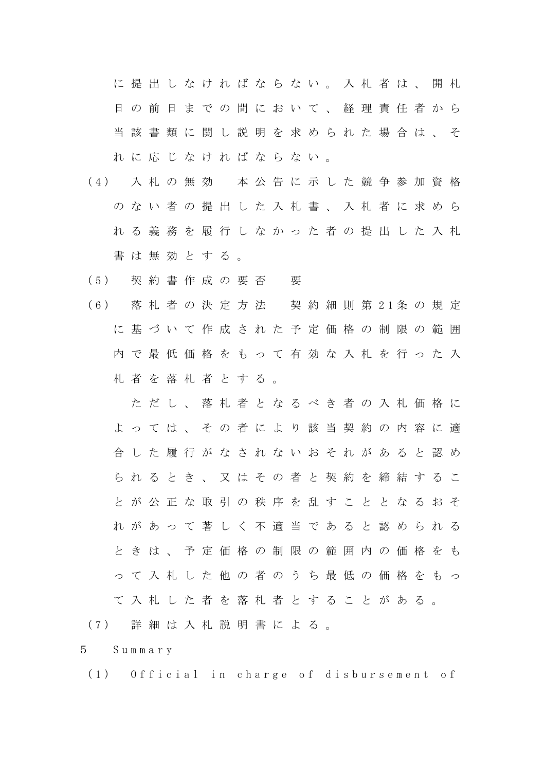に提出しなければならない。入札者は、開札 日の前日までの間において、経理責任者から 当該書類に関し説明を求められた場合は、そ れに応じなければならない。

- (4) 入 札 の 無 効 本 公 告 に 示 し た 競 争 参 加 資 格 のない者の提出した入札書、入札者に求めら れる義務を履行しなかった者の提出した入札 書は無効とする。
- (5) 契 約 書 作 成 の 要 否 要
- (6) 落 札 者 の 決 定 方 法 契 約 細 則 第 21条 の 規 定 に基づいて作成された予定価格の制限の範囲 内で最低価格をもって有効な入札を行った入 札者を落札者とする。

ただし、落札者となるべき者の入札価格に よっては、その者により該当契約の内容に適 合した履行がなされないおそれがあると認め られるとき、又はその者と契約を締結するこ とが公正な取引の秩序を乱すこととなるおそ れがあって著しく不適当であると認められる ときは、予定価格の制限の範囲内の価格をも って入札した他の者のうち最低の価格をもっ て入札した者を落札者とすることがある。

(7) 詳 細 は 入 札 説 明 書 に よ る 。

5 Summary

(1) Official in charge of disbursement of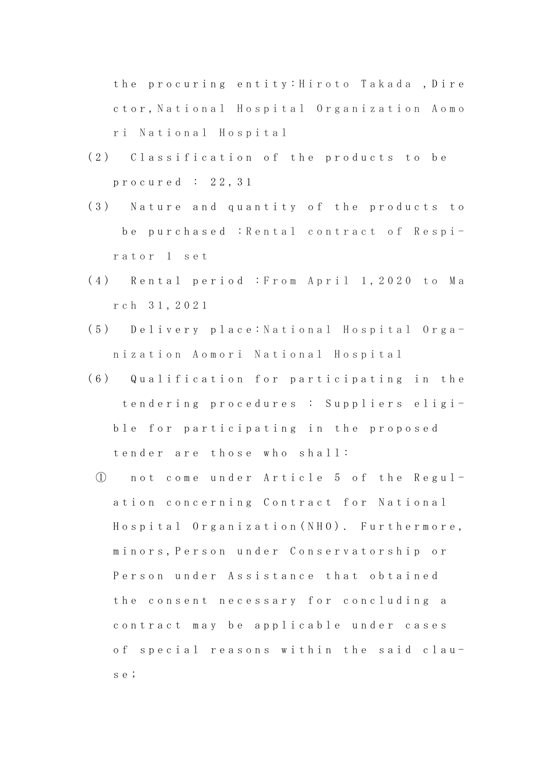the procuring entity: Hiroto Takada ,Dire ctor, National Hospital Organization Aomo ri National Hospital

- (2) Classification of the products to be procured : 22,31
- (3) Nature and quantity of the products to be purchased : Rental contract of Respirator 1 set
- (4) Rental period : From April 1,2020 to Ma rch 31,2021
- (5) Delivery place: National Hospital Organization Aomori National Hospital
- (6) Qualification for participating in the tendering procedures : Suppliers eligible for participating in the proposed tender are those who shall:
	- ① not come under Article 5 of the Regulation concerning Contract for National Hospital Organization(NHO). Furthermore, minors,Person under Conservatorship or Person under Assistance that obtained the consent necessary for concluding a contract may be applicable under cases of special reasons within the said clause;